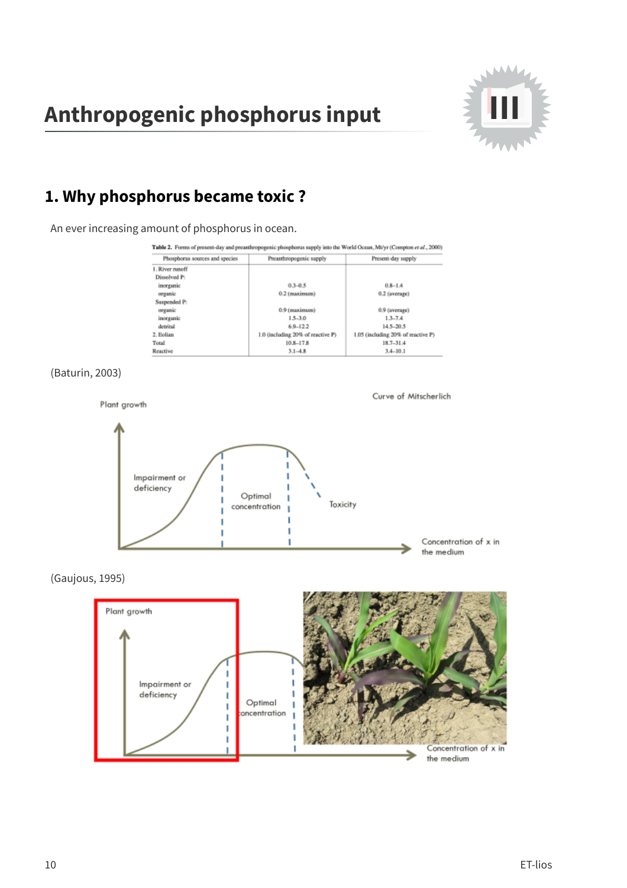# Anthropogenic phosphorus input



## 1. Why phosphorus became toxic?

An ever increasing amount of phosphorus in ocean.

| Phosphorus sources and species | Preanthropogenic supply           | Present-day supply                 |
|--------------------------------|-----------------------------------|------------------------------------|
| 1. River runoff                |                                   |                                    |
| Dissolved P:                   |                                   |                                    |
| inorganic                      | $0.3 - 0.5$                       | $0.8 - 1.4$                        |
| organic                        | 0.2 (maximum)                     | 0.2 (average)                      |
| Suspended P:                   |                                   |                                    |
| organic                        | 0.9 (maximum)                     | 0.9 (average)                      |
| inorganic                      | $15 - 30$                         | $13-74$                            |
| detrital                       | $6.9 - 12.2$                      | 14.5-20.5                          |
| 2. Eolian                      | 1.0 (including 20% of reactive P) | 1.05 (including 20% of reactive P) |
| Total                          | $10.8 - 17.8$                     | $18.7 - 31.4$                      |
| Reactive                       | $3.1 - 4.8$                       | $3.4 - 10.1$                       |

#### (Baturin, 2003)



#### (Gaujous, 1995)

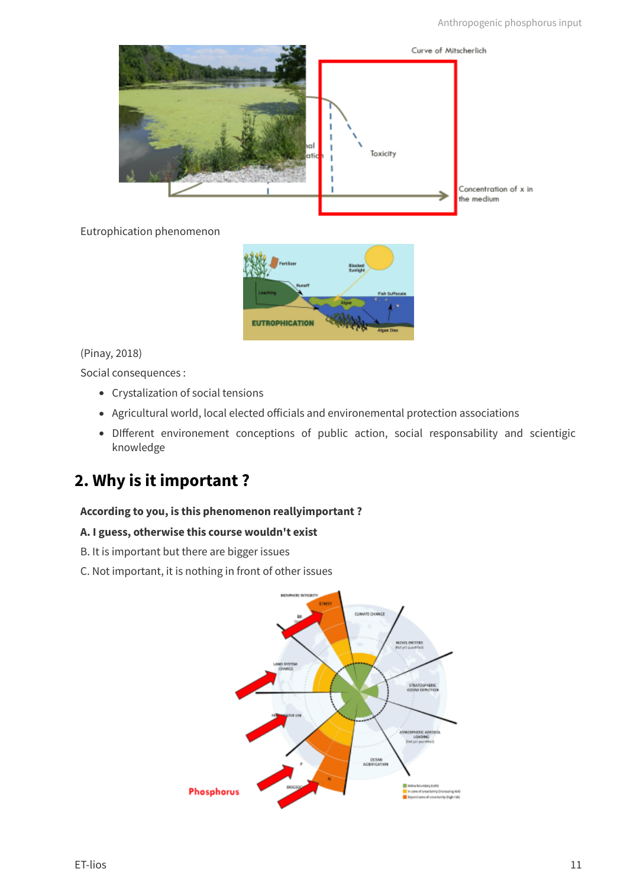

#### Eutrophication phenomenon



#### (Pinay, 2018)

Social consequences :

- Crystalization of social tensions
- Agricultural world, local elected officials and environemental protection associations
- DIfferent environement conceptions of public action, social responsability and scientigic knowledge

# **2. Why is it important ?**

#### **According to you, is this phenomenon reallyimportant ?**

#### **A. I guess, otherwise this course wouldn't exist**

- B. It is important but there are bigger issues
- C. Not important, it is nothing in front of other issues

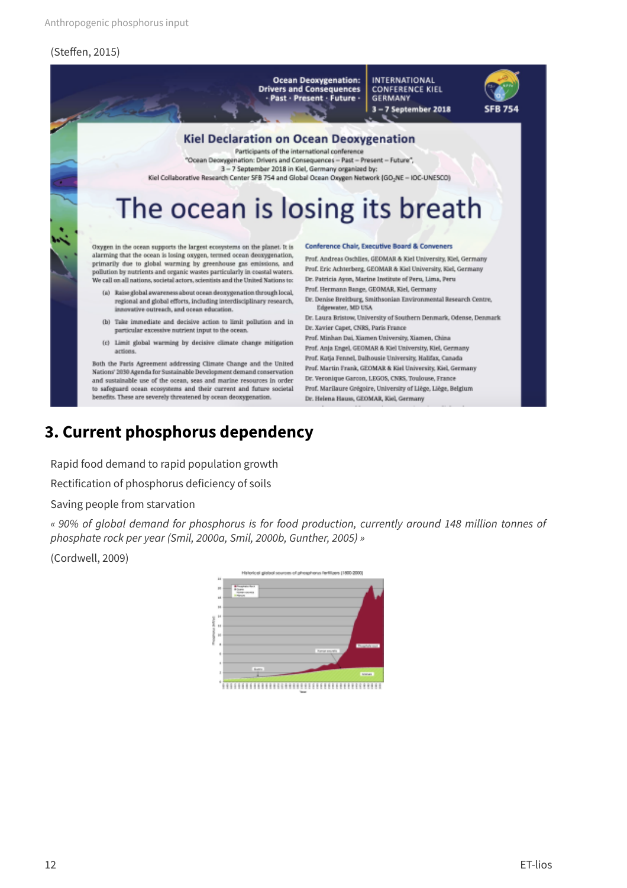#### (Steffen, 2015)



### **3. Current phosphorus dependency**

Rapid food demand to rapid population growth

Rectification of phosphorus deficiency of soils

Saving people from starvation

« 90% of global demand for phosphorus is for food production, currently around 148 million tonnes of phosphate rock per year (Smil, 2000a, Smil, 2000b, Gunther, 2005) »

(Cordwell, 2009)

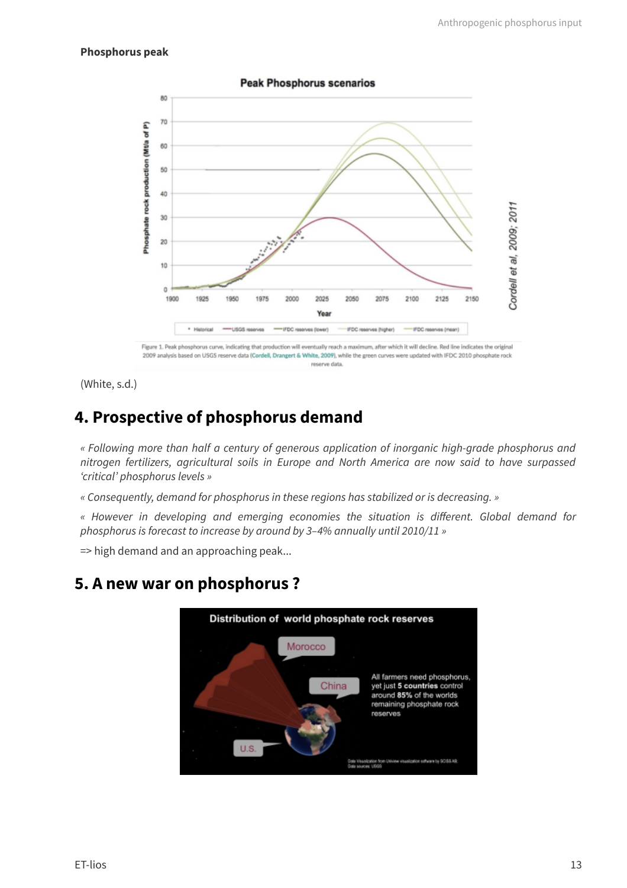#### **Phosphorus peak**



**Peak Phosphorus scenarios** 

Figure 1. Peak phosphorus curve, indicating that production will eventually reach a maximum, after which it will decline. Red line indicates the original 2009 analysis based on USGS reserve data (Cordell, Drangert & White, 2009), while the green curves were updated with IFDC 2010 phosphate rock reserve data.

(White, s.d.)

## **4. Prospective of phosphorus demand**

« Following more than half a century of generous application of inorganic high-grade phosphorus and nitrogen fertilizers, agricultural soils in Europe and North America are now said to have surpassed ʻcritical' phosphorus levels »

« Consequently, demand for phosphorus in these regions has stabilized or is decreasing. »

« However in developing and emerging economies the situation is different. Global demand for phosphorus is forecast to increase by around by 3–4% annually until 2010/11 »

=> high demand and an approaching peak...

### **5. A new war on phosphorus ?**

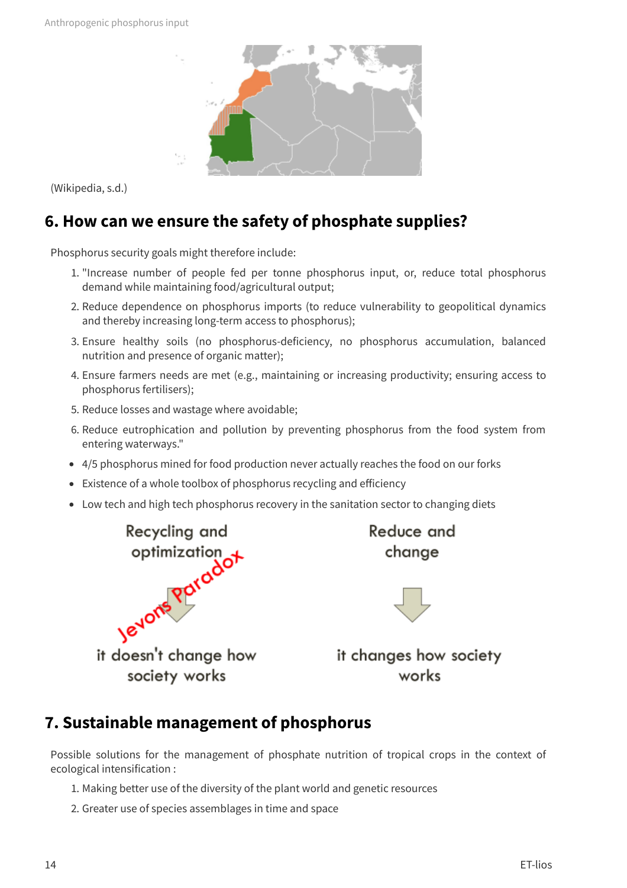

(Wikipedia, s.d.)

### **6. How can we ensure the safety of phosphate supplies?**

Phosphorus security goals might therefore include:

- 1. "Increase number of people fed per tonne phosphorus input, or, reduce total phosphorus demand while maintaining food/agricultural output;
- 2. Reduce dependence on phosphorus imports (to reduce vulnerability to geopolitical dynamics and thereby increasing long-term access to phosphorus);
- 3. Ensure healthy soils (no phosphorus-deficiency, no phosphorus accumulation, balanced nutrition and presence of organic matter);
- 4. Ensure farmers needs are met (e.g., maintaining or increasing productivity; ensuring access to phosphorus fertilisers);
- 5. Reduce losses and wastage where avoidable;
- 6. Reduce eutrophication and pollution by preventing phosphorus from the food system from entering waterways."
- 4/5 phosphorus mined for food production never actually reaches the food on our forks
- Existence of a whole toolbox of phosphorus recycling and efficiency
- Low tech and high tech phosphorus recovery in the sanitation sector to changing diets



Reduce and change



it changes how society works

### **7. Sustainable management of phosphorus**

Possible solutions for the management of phosphate nutrition of tropical crops in the context of ecological intensification :

- 1. Making better use of the diversity of the plant world and genetic resources
- 2. Greater use of species assemblages in time and space